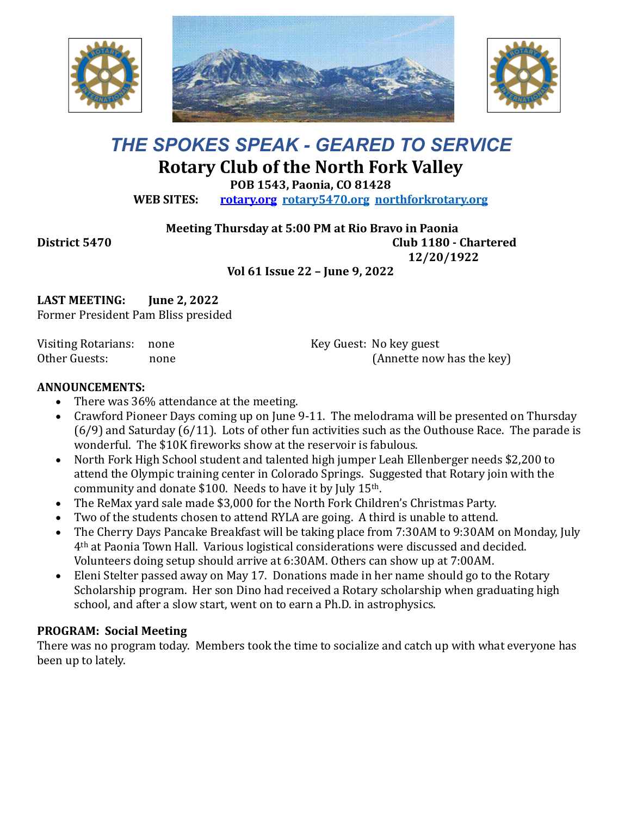





# *THE SPOKES SPEAK - GEARED TO SERVICE* **Rotary Club of the North Fork Valley**

**POB 1543, Paonia, CO 81428**

**WEB SITES: [rotary.org](http://www.rotary.org/) [rotary5470.org](http://rotary5470.org/) [northforkrotary.org](http://www.northforkrotary.org/)**

**Meeting Thursday at 5:00 PM at Rio Bravo in Paonia**

**District 5470 Club 1180 - Chartered 12/20/1922**

## **Vol 61 Issue 22 – June 9, 2022**

**LAST MEETING: June 2, 2022** Former President Pam Bliss presided

Visiting Rotarians: none Other Guests: none Key Guest: No key guest (Annette now has the key)

#### **ANNOUNCEMENTS:**

- There was 36% attendance at the meeting.
- Crawford Pioneer Days coming up on June 9-11. The melodrama will be presented on Thursday (6/9) and Saturday (6/11). Lots of other fun activities such as the Outhouse Race. The parade is wonderful. The \$10K fireworks show at the reservoir is fabulous.
- North Fork High School student and talented high jumper Leah Ellenberger needs \$2,200 to attend the Olympic training center in Colorado Springs. Suggested that Rotary join with the community and donate \$100. Needs to have it by July 15th.
- The ReMax yard sale made \$3,000 for the North Fork Children's Christmas Party.
- Two of the students chosen to attend RYLA are going. A third is unable to attend.
- The Cherry Days Pancake Breakfast will be taking place from 7:30AM to 9:30AM on Monday, July 4th at Paonia Town Hall. Various logistical considerations were discussed and decided. Volunteers doing setup should arrive at 6:30AM. Others can show up at 7:00AM.
- Eleni Stelter passed away on May 17. Donations made in her name should go to the Rotary Scholarship program. Her son Dino had received a Rotary scholarship when graduating high school, and after a slow start, went on to earn a Ph.D. in astrophysics.

### **PROGRAM: Social Meeting**

There was no program today. Members took the time to socialize and catch up with what everyone has been up to lately.